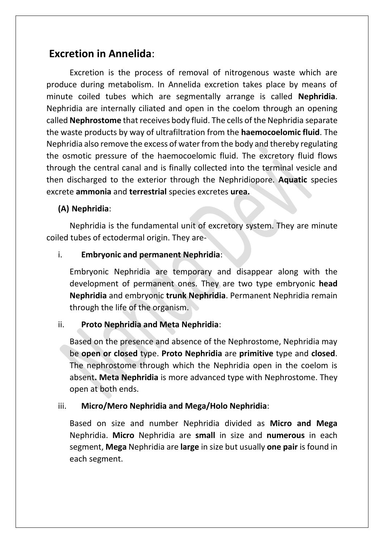# **Excretion in Annelida**:

Excretion is the process of removal of nitrogenous waste which are produce during metabolism. In Annelida excretion takes place by means of minute coiled tubes which are segmentally arrange is called **Nephridia**. Nephridia are internally ciliated and open in the coelom through an opening called **Nephrostome** that receives body fluid. The cells of the Nephridia separate the waste products by way of ultrafiltration from the **haemocoelomic fluid**. The Nephridia also remove the excess of water from the body and thereby regulating the osmotic pressure of the haemocoelomic fluid. The excretory fluid flows through the central canal and is finally collected into the terminal vesicle and then discharged to the exterior through the Nephridiopore. **Aquatic** species excrete **ammonia** and **terrestrial** species excretes **urea.**

# **(A) Nephridia**:

Nephridia is the fundamental unit of excretory system. They are minute coiled tubes of ectodermal origin. They are-

# i. **Embryonic and permanent Nephridia**:

Embryonic Nephridia are temporary and disappear along with the development of permanent ones. They are two type embryonic **head Nephridia** and embryonic **trunk Nephridia**. Permanent Nephridia remain through the life of the organism.

# ii. **Proto Nephridia and Meta Nephridia**:

Based on the presence and absence of the Nephrostome, Nephridia may be **open or closed** type. **Proto Nephridia** are **primitive** type and **closed**. The nephrostome through which the Nephridia open in the coelom is absent**. Meta Nephridia** is more advanced type with Nephrostome. They open at both ends.

# iii. **Micro/Mero Nephridia and Mega/Holo Nephridia**:

Based on size and number Nephridia divided as **Micro and Mega** Nephridia. **Micro** Nephridia are **small** in size and **numerous** in each segment, **Mega** Nephridia are **large** in size but usually **one pair** is found in each segment.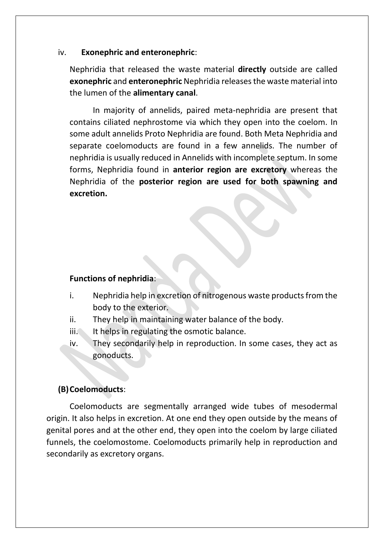#### iv. **Exonephric and enteronephric**:

Nephridia that released the waste material **directly** outside are called **exonephric** and **enteronephric** Nephridia releases the waste material into the lumen of the **alimentary canal**.

In majority of annelids, paired meta-nephridia are present that contains ciliated nephrostome via which they open into the coelom. In some adult annelids Proto Nephridia are found. Both Meta Nephridia and separate coelomoducts are found in a few annelids. The number of nephridia is usually reduced in Annelids with incomplete septum. In some forms, Nephridia found in **anterior region are excretory** whereas the Nephridia of the **posterior region are used for both spawning and excretion.**

### **Functions of nephridia**:

- i. Nephridia help in excretion of nitrogenous waste products from the body to the exterior.
- ii. They help in maintaining water balance of the body.
- $iii.$  It helps in regulating the osmotic balance.
- iv. They secondarily help in reproduction. In some cases, they act as gonoducts.

### **(B)Coelomoducts**:

Coelomoducts are segmentally arranged wide tubes of mesodermal origin. It also helps in excretion. At one end they open outside by the means of genital pores and at the other end, they open into the coelom by large ciliated funnels, the coelomostome. Coelomoducts primarily help in reproduction and secondarily as excretory organs.